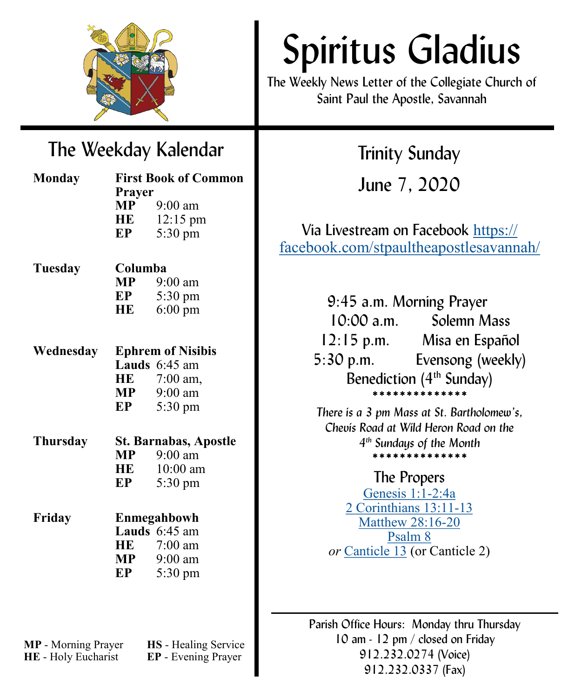

# Spiritus Gladius

The Weekly News Letter of the Collegiate Church of Saint Paul the Apostle, Savannah

# The Weekday Kalendar

| <b>Monday</b>   | <b>First Book of Common</b>  |                   |
|-----------------|------------------------------|-------------------|
|                 | Prayer                       |                   |
|                 | <b>MP</b>                    | $9:00$ am         |
|                 |                              | HE 12:15 pm       |
|                 | EP                           | 5:30 pm           |
| Tuesday         | Columba                      |                   |
|                 |                              | $MP$ 9:00 am      |
|                 |                              | $EP$ 5:30 pm      |
|                 | HE                           | $6:00 \text{ pm}$ |
|                 |                              |                   |
| Wednesday       | <b>Ephrem of Nisibis</b>     |                   |
|                 |                              | Lauds 6:45 am     |
|                 |                              | HE 7:00 am,       |
|                 |                              | $MP$ 9:00 am      |
|                 | EP                           | 5:30 pm           |
| <b>Thursday</b> | <b>St. Barnabas, Apostle</b> |                   |
|                 | MP                           | $9:00$ am         |
|                 | HE                           | $10:00$ am        |
|                 | EP                           | $5:30 \text{ pm}$ |
| Friday          | Enmegahbowh                  |                   |
|                 |                              | Lauds 6:45 am     |
|                 |                              | HE 7:00 am        |
|                 |                              | $MP$ 9:00 am      |
|                 | EP                           | 5:30 pm           |
|                 |                              |                   |
|                 |                              |                   |

**HE** - Holy Eucharist **EP** - Evening Prayer

**MP** - Morning Prayer **HS** - Healing Service

Trinity Sunday

June 7, 2020

Via Livestream on Facebook [https://](https://facebook.com/stpaultheapostlesavannah/) [facebook.com/stpaultheapostlesavannah/](https://facebook.com/stpaultheapostlesavannah/)

> 9:45 a.m. Morning Prayer 10:00 a.m. Solemn Mass 12:15 p.m. Misa en Español 5:30 p.m. Evensong (weekly) Benediction  $(4<sup>th</sup>$  Sunday) \*\*\*\*\*\*\*\*\*\*\*\*\*\*

*There is a 3 pm Mass at St. Bartholomew's, Chevis Road at Wild Heron Road on the 4 th Sundays of the Month* \*\*\*\*\*\*\*\*\*\*\*\*\*\*

# The Propers

[Genesis 1:1](https://www.lectionarypage.net/YearA_RCL/Pentecost/ATrinity_RCL.html#ot1)-2:4a [2 Corinthians 13:11](https://www.lectionarypage.net/YearA_RCL/Pentecost/ATrinity_RCL.html#nt1)-13 [Matthew 28:16](https://www.lectionarypage.net/YearA_RCL/Pentecost/ATrinity_RCL.html#gsp1)-20 [Psalm 8](https://www.lectionarypage.net/YearA_RCL/Pentecost/ATrinity_RCL.html#ps1) *or* [Canticle 13](https://www.lectionarypage.net/YearA_RCL/Pentecost/ATrinity_RCL.html#ps2) (or Canticle 2)

Parish Office Hours: Monday thru Thursday 10 am - 12 pm / closed on Friday 912.232.0274 (Voice) 912.232.0337 (Fax)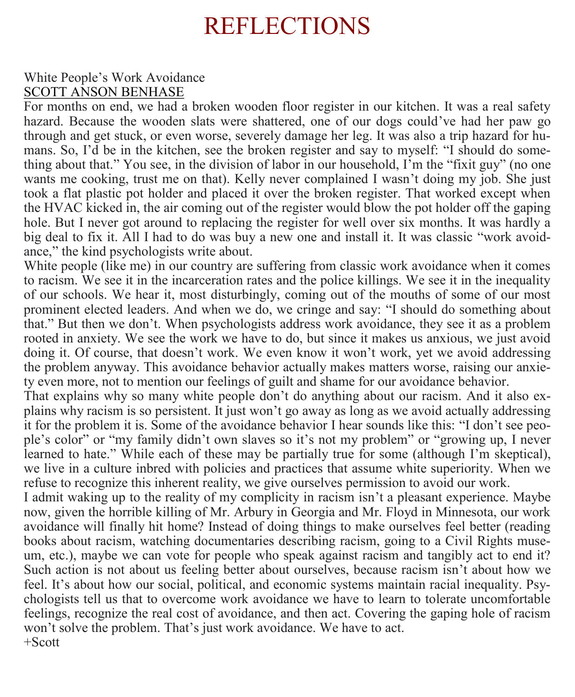# REFLECTIONS

## White People's Work Avoidance [SCOTT ANSON BENHASE](https://www.facebook.com/scott.a.benhase)

For months on end, we had a broken wooden floor register in our kitchen. It was a real safety hazard. Because the wooden slats were shattered, one of our dogs could've had her paw go through and get stuck, or even worse, severely damage her leg. It was also a trip hazard for humans. So, I'd be in the kitchen, see the broken register and say to myself: "I should do something about that." You see, in the division of labor in our household, I'm the "fixit guy" (no one wants me cooking, trust me on that). Kelly never complained I wasn't doing my job. She just took a flat plastic pot holder and placed it over the broken register. That worked except when the HVAC kicked in, the air coming out of the register would blow the pot holder off the gaping hole. But I never got around to replacing the register for well over six months. It was hardly a big deal to fix it. All I had to do was buy a new one and install it. It was classic "work avoidance," the kind psychologists write about.

White people (like me) in our country are suffering from classic work avoidance when it comes to racism. We see it in the incarceration rates and the police killings. We see it in the inequality of our schools. We hear it, most disturbingly, coming out of the mouths of some of our most prominent elected leaders. And when we do, we cringe and say: "I should do something about that." But then we don't. When psychologists address work avoidance, they see it as a problem rooted in anxiety. We see the work we have to do, but since it makes us anxious, we just avoid doing it. Of course, that doesn't work. We even know it won't work, yet we avoid addressing the problem anyway. This avoidance behavior actually makes matters worse, raising our anxiety even more, not to mention our feelings of guilt and shame for our avoidance behavior.

That explains why so many white people don't do anything about our racism. And it also explains why racism is so persistent. It just won't go away as long as we avoid actually addressing it for the problem it is. Some of the avoidance behavior I hear sounds like this: "I don't see people's color" or "my family didn't own slaves so it's not my problem" or "growing up, I never learned to hate." While each of these may be partially true for some (although I'm skeptical), we live in a culture inbred with policies and practices that assume white superiority. When we refuse to recognize this inherent reality, we give ourselves permission to avoid our work.

I admit waking up to the reality of my complicity in racism isn't a pleasant experience. Maybe now, given the horrible killing of Mr. Arbury in Georgia and Mr. Floyd in Minnesota, our work avoidance will finally hit home? Instead of doing things to make ourselves feel better (reading books about racism, watching documentaries describing racism, going to a Civil Rights museum, etc.), maybe we can vote for people who speak against racism and tangibly act to end it? Such action is not about us feeling better about ourselves, because racism isn't about how we feel. It's about how our social, political, and economic systems maintain racial inequality. Psychologists tell us that to overcome work avoidance we have to learn to tolerate uncomfortable feelings, recognize the real cost of avoidance, and then act. Covering the gaping hole of racism won't solve the problem. That's just work avoidance. We have to act. +Scott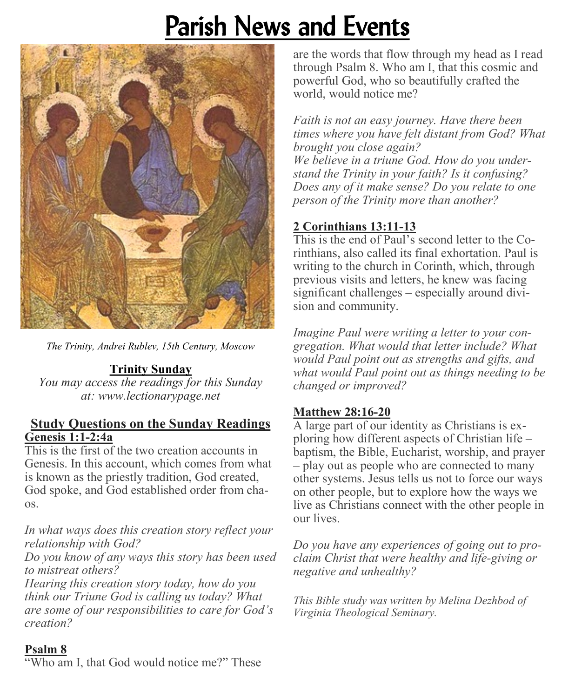# Parish News and Events



*The Trinity, Andrei Rublev, 15th Century, Moscow*

#### **Trinity Sunday**

*You may access the readings for this Sunday at: www.[lectionarypage.net](https://www.lectionarypage.net/)*

#### **Study Questions on the Sunday Readings Genesis 1:1-2:4a**

This is the first of the two creation accounts in Genesis. In this account, which comes from what is known as the priestly tradition, God created, God spoke, and God established order from chaos.

*In what ways does this creation story reflect your relationship with God?*

*Do you know of any ways this story has been used to mistreat others?*

*Hearing this creation story today, how do you think our Triune God is calling us today? What are some of our responsibilities to care for God's creation?*

are the words that flow through my head as I read through Psalm 8. Who am I, that this cosmic and powerful God, who so beautifully crafted the world, would notice me?

*Faith is not an easy journey. Have there been times where you have felt distant from God? What brought you close again? We believe in a triune God. How do you understand the Trinity in your faith? Is it confusing? Does any of it make sense? Do you relate to one person of the Trinity more than another?*

# **2 Corinthians 13:11-13**

This is the end of Paul's second letter to the Corinthians, also called its final exhortation. Paul is writing to the church in Corinth, which, through previous visits and letters, he knew was facing significant challenges – especially around division and community.

*Imagine Paul were writing a letter to your congregation. What would that letter include? What would Paul point out as strengths and gifts, and what would Paul point out as things needing to be changed or improved?*

## **Matthew 28:16-20**

A large part of our identity as Christians is exploring how different aspects of Christian life – baptism, the Bible, Eucharist, worship, and prayer – play out as people who are connected to many other systems. Jesus tells us not to force our ways on other people, but to explore how the ways we live as Christians connect with the other people in our lives.

*Do you have any experiences of going out to proclaim Christ that were healthy and life-giving or negative and unhealthy?*

*This Bible study was written by Melina Dezhbod of Virginia Theological Seminary.*

#### **Psalm 8**

"Who am I, that God would notice me?" These